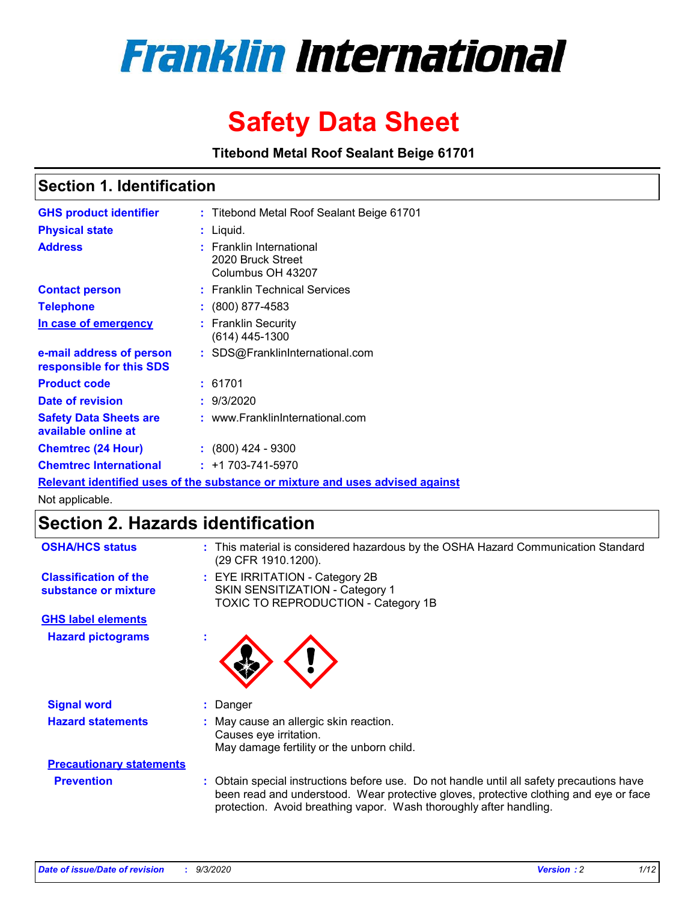

# **Safety Data Sheet**

**Titebond Metal Roof Sealant Beige 61701**

# **Section 1. Identification**

| <b>GHS product identifier</b>                                                 |  | : Titebond Metal Roof Sealant Beige 61701                               |  |  |
|-------------------------------------------------------------------------------|--|-------------------------------------------------------------------------|--|--|
| <b>Physical state</b>                                                         |  | $:$ Liquid.                                                             |  |  |
| <b>Address</b>                                                                |  | <b>Franklin International</b><br>2020 Bruck Street<br>Columbus OH 43207 |  |  |
| <b>Contact person</b>                                                         |  | : Franklin Technical Services                                           |  |  |
| <b>Telephone</b>                                                              |  | $\colon$ (800) 877-4583                                                 |  |  |
| In case of emergency                                                          |  | : Franklin Security<br>(614) 445-1300                                   |  |  |
| e-mail address of person<br>responsible for this SDS                          |  | : SDS@FranklinInternational.com                                         |  |  |
| <b>Product code</b>                                                           |  | : 61701                                                                 |  |  |
| Date of revision                                                              |  | : 9/3/2020                                                              |  |  |
| <b>Safety Data Sheets are</b><br>available online at                          |  | : www.FranklinInternational.com                                         |  |  |
| <b>Chemtrec (24 Hour)</b>                                                     |  | $: (800)$ 424 - 9300                                                    |  |  |
| <b>Chemtrec International</b>                                                 |  | $: +1703 - 741 - 5970$                                                  |  |  |
| Relevant identified uses of the substance or mixture and uses advised against |  |                                                                         |  |  |

Not applicable.

# **Section 2. Hazards identification**

| <b>OSHA/HCS status</b>                               | This material is considered hazardous by the OSHA Hazard Communication Standard<br>(29 CFR 1910.1200).                                                                                                                                                 |  |  |
|------------------------------------------------------|--------------------------------------------------------------------------------------------------------------------------------------------------------------------------------------------------------------------------------------------------------|--|--|
| <b>Classification of the</b><br>substance or mixture | : EYE IRRITATION - Category 2B<br>SKIN SENSITIZATION - Category 1<br>TOXIC TO REPRODUCTION - Category 1B                                                                                                                                               |  |  |
| <b>GHS label elements</b>                            |                                                                                                                                                                                                                                                        |  |  |
| <b>Hazard pictograms</b>                             |                                                                                                                                                                                                                                                        |  |  |
| <b>Signal word</b>                                   | Danger                                                                                                                                                                                                                                                 |  |  |
| <b>Hazard statements</b>                             | May cause an allergic skin reaction.<br>Causes eve irritation.<br>May damage fertility or the unborn child.                                                                                                                                            |  |  |
| <b>Precautionary statements</b>                      |                                                                                                                                                                                                                                                        |  |  |
| <b>Prevention</b>                                    | Obtain special instructions before use. Do not handle until all safety precautions have<br>been read and understood. Wear protective gloves, protective clothing and eye or face<br>protection. Avoid breathing vapor. Wash thoroughly after handling. |  |  |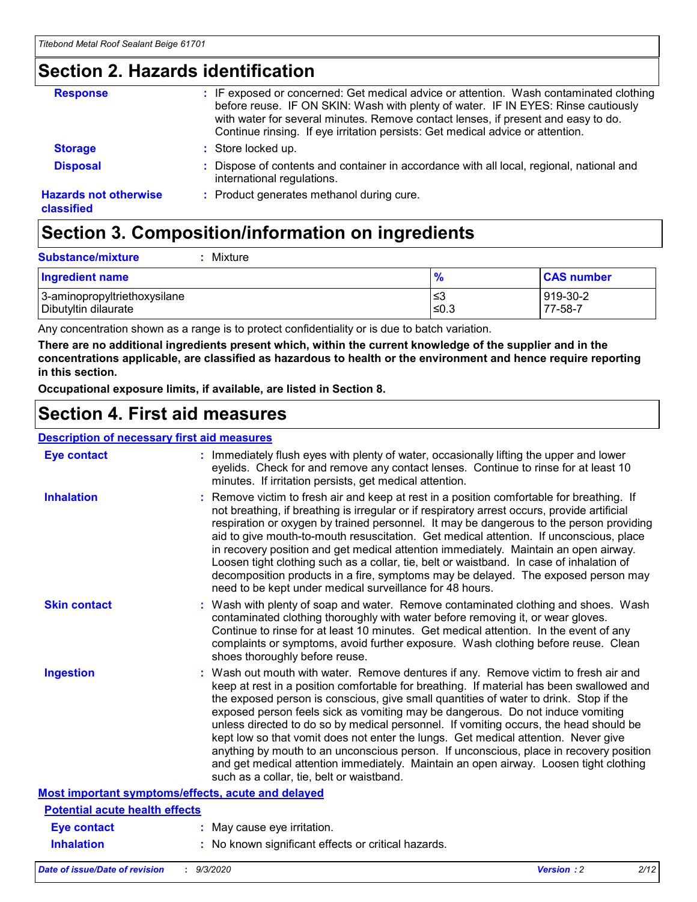# **Section 2. Hazards identification**

| <b>Response</b>                            | : IF exposed or concerned: Get medical advice or attention. Wash contaminated clothing<br>before reuse. IF ON SKIN: Wash with plenty of water. IF IN EYES: Rinse cautiously<br>with water for several minutes. Remove contact lenses, if present and easy to do.<br>Continue rinsing. If eye irritation persists: Get medical advice or attention. |
|--------------------------------------------|----------------------------------------------------------------------------------------------------------------------------------------------------------------------------------------------------------------------------------------------------------------------------------------------------------------------------------------------------|
| <b>Storage</b>                             | : Store locked up.                                                                                                                                                                                                                                                                                                                                 |
| <b>Disposal</b>                            | : Dispose of contents and container in accordance with all local, regional, national and<br>international regulations.                                                                                                                                                                                                                             |
| <b>Hazards not otherwise</b><br>classified | : Product generates methanol during cure.                                                                                                                                                                                                                                                                                                          |

# **Section 3. Composition/information on ingredients**

| <b>Ingredient name</b>       | $\frac{9}{6}$ | <b>CAS number</b> |
|------------------------------|---------------|-------------------|
| 3-aminopropyltriethoxysilane | ≤3            | 919-30-2          |
| Dibutyltin dilaurate         | ∣≤0.3         | 77-58-7           |

Any concentration shown as a range is to protect confidentiality or is due to batch variation.

**There are no additional ingredients present which, within the current knowledge of the supplier and in the concentrations applicable, are classified as hazardous to health or the environment and hence require reporting in this section.**

**Occupational exposure limits, if available, are listed in Section 8.**

# **Section 4. First aid measures**

| <b>Description of necessary first aid measures</b> |                                                                                                                                                                                                                                                                                                                                                                                                                                                                                                                                                                                                                                                                                                                                                                           |
|----------------------------------------------------|---------------------------------------------------------------------------------------------------------------------------------------------------------------------------------------------------------------------------------------------------------------------------------------------------------------------------------------------------------------------------------------------------------------------------------------------------------------------------------------------------------------------------------------------------------------------------------------------------------------------------------------------------------------------------------------------------------------------------------------------------------------------------|
| <b>Eye contact</b>                                 | : Immediately flush eyes with plenty of water, occasionally lifting the upper and lower<br>eyelids. Check for and remove any contact lenses. Continue to rinse for at least 10<br>minutes. If irritation persists, get medical attention.                                                                                                                                                                                                                                                                                                                                                                                                                                                                                                                                 |
| <b>Inhalation</b>                                  | : Remove victim to fresh air and keep at rest in a position comfortable for breathing. If<br>not breathing, if breathing is irregular or if respiratory arrest occurs, provide artificial<br>respiration or oxygen by trained personnel. It may be dangerous to the person providing<br>aid to give mouth-to-mouth resuscitation. Get medical attention. If unconscious, place<br>in recovery position and get medical attention immediately. Maintain an open airway.<br>Loosen tight clothing such as a collar, tie, belt or waistband. In case of inhalation of<br>decomposition products in a fire, symptoms may be delayed. The exposed person may<br>need to be kept under medical surveillance for 48 hours.                                                       |
| <b>Skin contact</b>                                | : Wash with plenty of soap and water. Remove contaminated clothing and shoes. Wash<br>contaminated clothing thoroughly with water before removing it, or wear gloves.<br>Continue to rinse for at least 10 minutes. Get medical attention. In the event of any<br>complaints or symptoms, avoid further exposure. Wash clothing before reuse. Clean<br>shoes thoroughly before reuse.                                                                                                                                                                                                                                                                                                                                                                                     |
| <b>Ingestion</b>                                   | : Wash out mouth with water. Remove dentures if any. Remove victim to fresh air and<br>keep at rest in a position comfortable for breathing. If material has been swallowed and<br>the exposed person is conscious, give small quantities of water to drink. Stop if the<br>exposed person feels sick as vomiting may be dangerous. Do not induce vomiting<br>unless directed to do so by medical personnel. If vomiting occurs, the head should be<br>kept low so that vomit does not enter the lungs. Get medical attention. Never give<br>anything by mouth to an unconscious person. If unconscious, place in recovery position<br>and get medical attention immediately. Maintain an open airway. Loosen tight clothing<br>such as a collar, tie, belt or waistband. |
| Most important symptoms/effects, acute and delayed |                                                                                                                                                                                                                                                                                                                                                                                                                                                                                                                                                                                                                                                                                                                                                                           |
| <b>Potential acute health effects</b>              |                                                                                                                                                                                                                                                                                                                                                                                                                                                                                                                                                                                                                                                                                                                                                                           |
| <b>Eye contact</b>                                 | : May cause eye irritation.                                                                                                                                                                                                                                                                                                                                                                                                                                                                                                                                                                                                                                                                                                                                               |
| <b>Inhalation</b>                                  | : No known significant effects or critical hazards.                                                                                                                                                                                                                                                                                                                                                                                                                                                                                                                                                                                                                                                                                                                       |
|                                                    |                                                                                                                                                                                                                                                                                                                                                                                                                                                                                                                                                                                                                                                                                                                                                                           |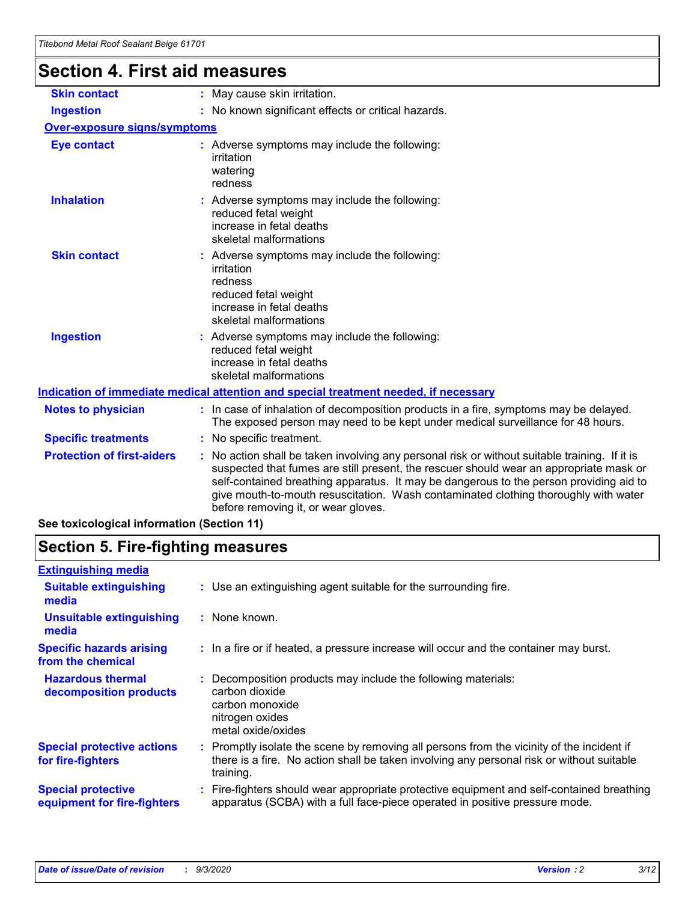# **Section 4. First aid measures**

| <b>Skin contact</b>                        | : May cause skin irritation.                                                                                                                                                                                                                                                                                                                                                                                  |  |  |
|--------------------------------------------|---------------------------------------------------------------------------------------------------------------------------------------------------------------------------------------------------------------------------------------------------------------------------------------------------------------------------------------------------------------------------------------------------------------|--|--|
| <b>Ingestion</b>                           | : No known significant effects or critical hazards.                                                                                                                                                                                                                                                                                                                                                           |  |  |
| <b>Over-exposure signs/symptoms</b>        |                                                                                                                                                                                                                                                                                                                                                                                                               |  |  |
| <b>Eye contact</b>                         | : Adverse symptoms may include the following:<br>irritation<br>watering<br>redness                                                                                                                                                                                                                                                                                                                            |  |  |
| <b>Inhalation</b>                          | Adverse symptoms may include the following:<br>reduced fetal weight<br>increase in fetal deaths<br>skeletal malformations                                                                                                                                                                                                                                                                                     |  |  |
| <b>Skin contact</b>                        | Adverse symptoms may include the following:<br>irritation<br>redness<br>reduced fetal weight<br>increase in fetal deaths<br>skeletal malformations                                                                                                                                                                                                                                                            |  |  |
| <b>Ingestion</b>                           | : Adverse symptoms may include the following:<br>reduced fetal weight<br>increase in fetal deaths<br>skeletal malformations                                                                                                                                                                                                                                                                                   |  |  |
|                                            | Indication of immediate medical attention and special treatment needed, if necessary                                                                                                                                                                                                                                                                                                                          |  |  |
| <b>Notes to physician</b>                  | : In case of inhalation of decomposition products in a fire, symptoms may be delayed.<br>The exposed person may need to be kept under medical surveillance for 48 hours.                                                                                                                                                                                                                                      |  |  |
| <b>Specific treatments</b>                 | : No specific treatment.                                                                                                                                                                                                                                                                                                                                                                                      |  |  |
| <b>Protection of first-aiders</b>          | No action shall be taken involving any personal risk or without suitable training. If it is<br>suspected that fumes are still present, the rescuer should wear an appropriate mask or<br>self-contained breathing apparatus. It may be dangerous to the person providing aid to<br>give mouth-to-mouth resuscitation. Wash contaminated clothing thoroughly with water<br>before removing it, or wear gloves. |  |  |
| See toxicological information (Section 11) |                                                                                                                                                                                                                                                                                                                                                                                                               |  |  |

# **Section 5. Fire-fighting measures**

| <b>Extinguishing media</b><br>: Use an extinguishing agent suitable for the surrounding fire.<br><b>Suitable extinguishing</b><br>media<br><b>Unsuitable extinguishing</b><br>: None known.<br>media<br><b>Specific hazards arising</b><br>: In a fire or if heated, a pressure increase will occur and the container may burst.<br>from the chemical<br><b>Hazardous thermal</b><br>Decomposition products may include the following materials:<br>carbon dioxide<br>decomposition products<br>carbon monoxide<br>nitrogen oxides<br>metal oxide/oxides<br><b>Special protective actions</b><br>: Promptly isolate the scene by removing all persons from the vicinity of the incident if<br>there is a fire. No action shall be taken involving any personal risk or without suitable<br>for fire-fighters<br>training.<br><b>Special protective</b><br>apparatus (SCBA) with a full face-piece operated in positive pressure mode.<br>equipment for fire-fighters |                                                                                           |
|----------------------------------------------------------------------------------------------------------------------------------------------------------------------------------------------------------------------------------------------------------------------------------------------------------------------------------------------------------------------------------------------------------------------------------------------------------------------------------------------------------------------------------------------------------------------------------------------------------------------------------------------------------------------------------------------------------------------------------------------------------------------------------------------------------------------------------------------------------------------------------------------------------------------------------------------------------------------|-------------------------------------------------------------------------------------------|
|                                                                                                                                                                                                                                                                                                                                                                                                                                                                                                                                                                                                                                                                                                                                                                                                                                                                                                                                                                      |                                                                                           |
|                                                                                                                                                                                                                                                                                                                                                                                                                                                                                                                                                                                                                                                                                                                                                                                                                                                                                                                                                                      |                                                                                           |
|                                                                                                                                                                                                                                                                                                                                                                                                                                                                                                                                                                                                                                                                                                                                                                                                                                                                                                                                                                      |                                                                                           |
|                                                                                                                                                                                                                                                                                                                                                                                                                                                                                                                                                                                                                                                                                                                                                                                                                                                                                                                                                                      |                                                                                           |
|                                                                                                                                                                                                                                                                                                                                                                                                                                                                                                                                                                                                                                                                                                                                                                                                                                                                                                                                                                      |                                                                                           |
|                                                                                                                                                                                                                                                                                                                                                                                                                                                                                                                                                                                                                                                                                                                                                                                                                                                                                                                                                                      |                                                                                           |
|                                                                                                                                                                                                                                                                                                                                                                                                                                                                                                                                                                                                                                                                                                                                                                                                                                                                                                                                                                      | : Fire-fighters should wear appropriate protective equipment and self-contained breathing |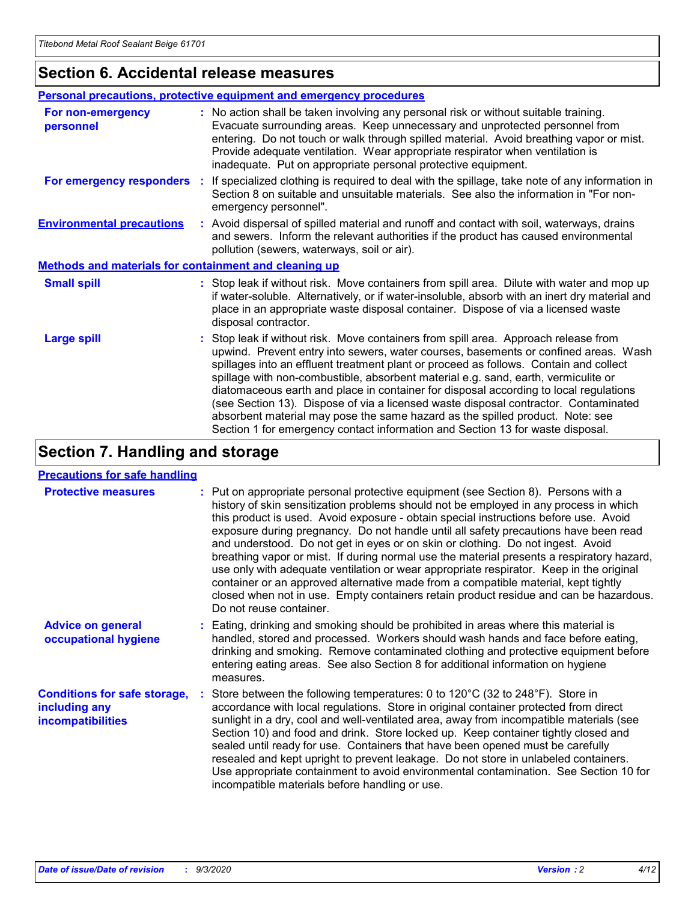# **Section 6. Accidental release measures**

|                                                              | <b>Personal precautions, protective equipment and emergency procedures</b>                                                                                                                                                                                                                                                                                                                                                                                                                                                                                                                                                                                                                                   |  |  |  |  |
|--------------------------------------------------------------|--------------------------------------------------------------------------------------------------------------------------------------------------------------------------------------------------------------------------------------------------------------------------------------------------------------------------------------------------------------------------------------------------------------------------------------------------------------------------------------------------------------------------------------------------------------------------------------------------------------------------------------------------------------------------------------------------------------|--|--|--|--|
| For non-emergency<br>personnel                               | : No action shall be taken involving any personal risk or without suitable training.<br>Evacuate surrounding areas. Keep unnecessary and unprotected personnel from<br>entering. Do not touch or walk through spilled material. Avoid breathing vapor or mist.<br>Provide adequate ventilation. Wear appropriate respirator when ventilation is<br>inadequate. Put on appropriate personal protective equipment.                                                                                                                                                                                                                                                                                             |  |  |  |  |
| For emergency responders                                     | : If specialized clothing is required to deal with the spillage, take note of any information in<br>Section 8 on suitable and unsuitable materials. See also the information in "For non-<br>emergency personnel".                                                                                                                                                                                                                                                                                                                                                                                                                                                                                           |  |  |  |  |
| <b>Environmental precautions</b>                             | : Avoid dispersal of spilled material and runoff and contact with soil, waterways, drains<br>and sewers. Inform the relevant authorities if the product has caused environmental<br>pollution (sewers, waterways, soil or air).                                                                                                                                                                                                                                                                                                                                                                                                                                                                              |  |  |  |  |
| <b>Methods and materials for containment and cleaning up</b> |                                                                                                                                                                                                                                                                                                                                                                                                                                                                                                                                                                                                                                                                                                              |  |  |  |  |
| <b>Small spill</b>                                           | : Stop leak if without risk. Move containers from spill area. Dilute with water and mop up<br>if water-soluble. Alternatively, or if water-insoluble, absorb with an inert dry material and<br>place in an appropriate waste disposal container. Dispose of via a licensed waste<br>disposal contractor.                                                                                                                                                                                                                                                                                                                                                                                                     |  |  |  |  |
| <b>Large spill</b>                                           | : Stop leak if without risk. Move containers from spill area. Approach release from<br>upwind. Prevent entry into sewers, water courses, basements or confined areas. Wash<br>spillages into an effluent treatment plant or proceed as follows. Contain and collect<br>spillage with non-combustible, absorbent material e.g. sand, earth, vermiculite or<br>diatomaceous earth and place in container for disposal according to local regulations<br>(see Section 13). Dispose of via a licensed waste disposal contractor. Contaminated<br>absorbent material may pose the same hazard as the spilled product. Note: see<br>Section 1 for emergency contact information and Section 13 for waste disposal. |  |  |  |  |

# **Section 7. Handling and storage**

### **Precautions for safe handling**

| <b>Protective measures</b>                                                       | : Put on appropriate personal protective equipment (see Section 8). Persons with a<br>history of skin sensitization problems should not be employed in any process in which<br>this product is used. Avoid exposure - obtain special instructions before use. Avoid<br>exposure during pregnancy. Do not handle until all safety precautions have been read<br>and understood. Do not get in eyes or on skin or clothing. Do not ingest. Avoid<br>breathing vapor or mist. If during normal use the material presents a respiratory hazard,<br>use only with adequate ventilation or wear appropriate respirator. Keep in the original<br>container or an approved alternative made from a compatible material, kept tightly<br>closed when not in use. Empty containers retain product residue and can be hazardous.<br>Do not reuse container. |
|----------------------------------------------------------------------------------|--------------------------------------------------------------------------------------------------------------------------------------------------------------------------------------------------------------------------------------------------------------------------------------------------------------------------------------------------------------------------------------------------------------------------------------------------------------------------------------------------------------------------------------------------------------------------------------------------------------------------------------------------------------------------------------------------------------------------------------------------------------------------------------------------------------------------------------------------|
| <b>Advice on general</b><br>occupational hygiene                                 | : Eating, drinking and smoking should be prohibited in areas where this material is<br>handled, stored and processed. Workers should wash hands and face before eating,<br>drinking and smoking. Remove contaminated clothing and protective equipment before<br>entering eating areas. See also Section 8 for additional information on hygiene<br>measures.                                                                                                                                                                                                                                                                                                                                                                                                                                                                                    |
| <b>Conditions for safe storage,</b><br>including any<br><i>incompatibilities</i> | Store between the following temperatures: 0 to 120°C (32 to 248°F). Store in<br>accordance with local regulations. Store in original container protected from direct<br>sunlight in a dry, cool and well-ventilated area, away from incompatible materials (see<br>Section 10) and food and drink. Store locked up. Keep container tightly closed and<br>sealed until ready for use. Containers that have been opened must be carefully<br>resealed and kept upright to prevent leakage. Do not store in unlabeled containers.<br>Use appropriate containment to avoid environmental contamination. See Section 10 for<br>incompatible materials before handling or use.                                                                                                                                                                         |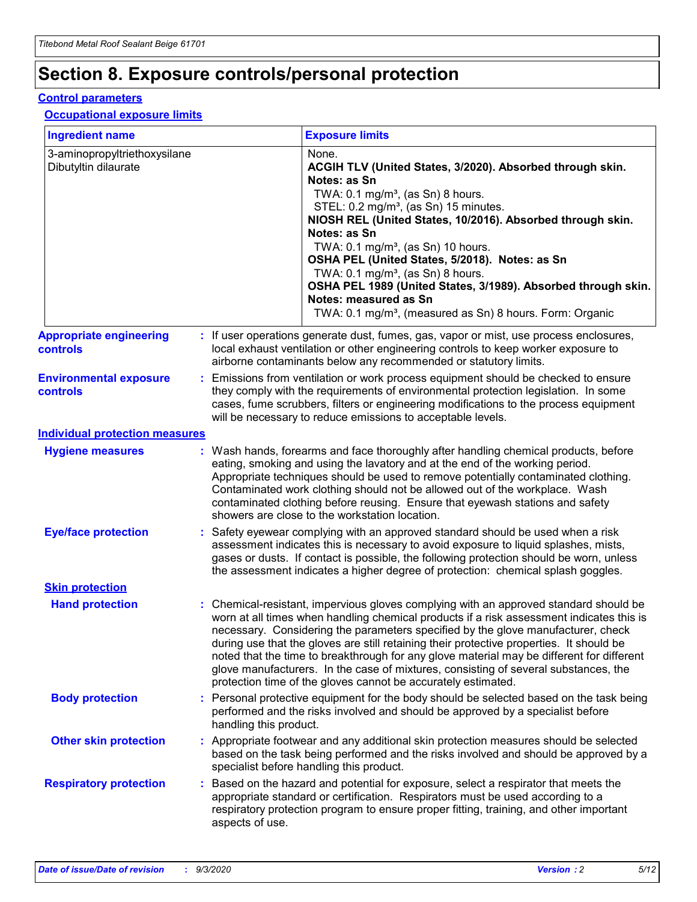# **Section 8. Exposure controls/personal protection**

### **Control parameters**

## **Occupational exposure limits**

| <b>Ingredient name</b>                               |    |                        | <b>Exposure limits</b>                                                                                                                                                                                                                                                                                                                                                                                                                                                                                                                                                                                                 |
|------------------------------------------------------|----|------------------------|------------------------------------------------------------------------------------------------------------------------------------------------------------------------------------------------------------------------------------------------------------------------------------------------------------------------------------------------------------------------------------------------------------------------------------------------------------------------------------------------------------------------------------------------------------------------------------------------------------------------|
| 3-aminopropyltriethoxysilane<br>Dibutyltin dilaurate |    |                        | None.<br>ACGIH TLV (United States, 3/2020). Absorbed through skin.<br>Notes: as Sn<br>TWA: $0.1 \text{ mg/m}^3$ , (as Sn) 8 hours.<br>STEL: 0.2 mg/m <sup>3</sup> , (as Sn) 15 minutes.<br>NIOSH REL (United States, 10/2016). Absorbed through skin.<br>Notes: as Sn<br>TWA: 0.1 mg/m <sup>3</sup> , (as Sn) 10 hours.<br>OSHA PEL (United States, 5/2018). Notes: as Sn<br>TWA: $0.1 \text{ mg/m}^3$ , (as Sn) 8 hours.<br>OSHA PEL 1989 (United States, 3/1989). Absorbed through skin.<br>Notes: measured as Sn<br>TWA: 0.1 mg/m <sup>3</sup> , (measured as Sn) 8 hours. Form: Organic                            |
| <b>Appropriate engineering</b><br>controls           |    |                        | : If user operations generate dust, fumes, gas, vapor or mist, use process enclosures,<br>local exhaust ventilation or other engineering controls to keep worker exposure to<br>airborne contaminants below any recommended or statutory limits.                                                                                                                                                                                                                                                                                                                                                                       |
| <b>Environmental exposure</b><br><b>controls</b>     |    |                        | Emissions from ventilation or work process equipment should be checked to ensure<br>they comply with the requirements of environmental protection legislation. In some<br>cases, fume scrubbers, filters or engineering modifications to the process equipment<br>will be necessary to reduce emissions to acceptable levels.                                                                                                                                                                                                                                                                                          |
| <b>Individual protection measures</b>                |    |                        |                                                                                                                                                                                                                                                                                                                                                                                                                                                                                                                                                                                                                        |
| <b>Hygiene measures</b>                              |    |                        | : Wash hands, forearms and face thoroughly after handling chemical products, before<br>eating, smoking and using the lavatory and at the end of the working period.<br>Appropriate techniques should be used to remove potentially contaminated clothing.<br>Contaminated work clothing should not be allowed out of the workplace. Wash<br>contaminated clothing before reusing. Ensure that eyewash stations and safety<br>showers are close to the workstation location.                                                                                                                                            |
| <b>Eye/face protection</b>                           |    |                        | Safety eyewear complying with an approved standard should be used when a risk<br>assessment indicates this is necessary to avoid exposure to liquid splashes, mists,<br>gases or dusts. If contact is possible, the following protection should be worn, unless<br>the assessment indicates a higher degree of protection: chemical splash goggles.                                                                                                                                                                                                                                                                    |
| <b>Skin protection</b>                               |    |                        |                                                                                                                                                                                                                                                                                                                                                                                                                                                                                                                                                                                                                        |
| <b>Hand protection</b>                               |    |                        | : Chemical-resistant, impervious gloves complying with an approved standard should be<br>worn at all times when handling chemical products if a risk assessment indicates this is<br>necessary. Considering the parameters specified by the glove manufacturer, check<br>during use that the gloves are still retaining their protective properties. It should be<br>noted that the time to breakthrough for any glove material may be different for different<br>glove manufacturers. In the case of mixtures, consisting of several substances, the<br>protection time of the gloves cannot be accurately estimated. |
| <b>Body protection</b>                               |    | handling this product. | Personal protective equipment for the body should be selected based on the task being<br>performed and the risks involved and should be approved by a specialist before                                                                                                                                                                                                                                                                                                                                                                                                                                                |
| <b>Other skin protection</b>                         |    |                        | Appropriate footwear and any additional skin protection measures should be selected<br>based on the task being performed and the risks involved and should be approved by a<br>specialist before handling this product.                                                                                                                                                                                                                                                                                                                                                                                                |
| <b>Respiratory protection</b>                        | ÷. | aspects of use.        | Based on the hazard and potential for exposure, select a respirator that meets the<br>appropriate standard or certification. Respirators must be used according to a<br>respiratory protection program to ensure proper fitting, training, and other important                                                                                                                                                                                                                                                                                                                                                         |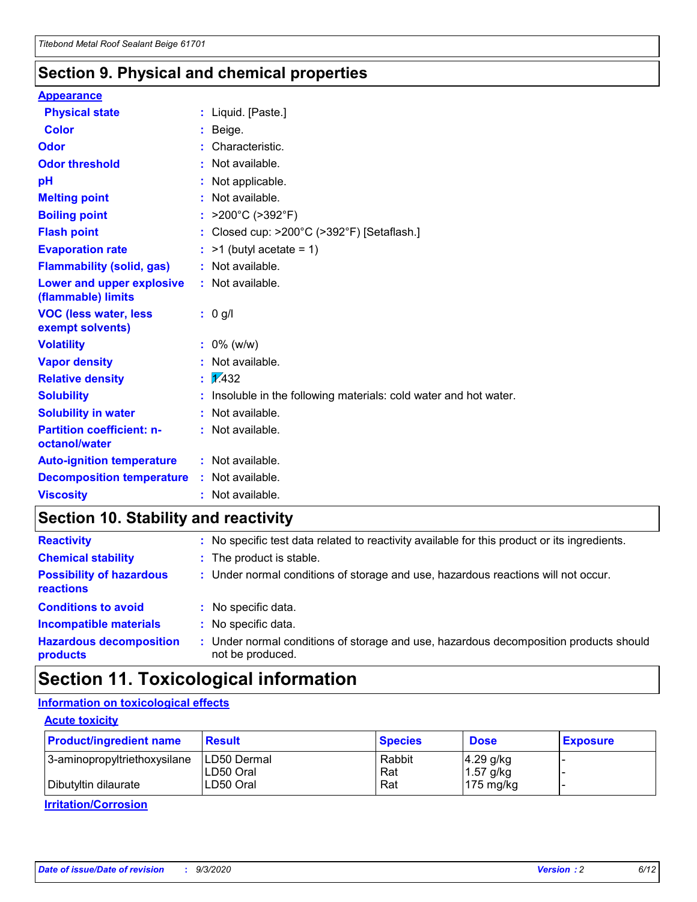# **Section 9. Physical and chemical properties**

### **Appearance**

| <b>Physical state</b>                             | : Liquid. [Paste.]                                              |
|---------------------------------------------------|-----------------------------------------------------------------|
| Color                                             | Beige.                                                          |
| Odor                                              | Characteristic.                                                 |
| <b>Odor threshold</b>                             | $:$ Not available.                                              |
| рH                                                | : Not applicable.                                               |
| <b>Melting point</b>                              | : Not available.                                                |
| <b>Boiling point</b>                              | : $>200^{\circ}$ C ( $>392^{\circ}$ F)                          |
| <b>Flash point</b>                                | : Closed cup: >200°C (>392°F) [Setaflash.]                      |
| <b>Evaporation rate</b>                           | $:$ >1 (butyl acetate = 1)                                      |
| <b>Flammability (solid, gas)</b>                  | : Not available.                                                |
| Lower and upper explosive<br>(flammable) limits   | : Not available.                                                |
| <b>VOC (less water, less</b><br>exempt solvents)  | $: 0$ g/l                                                       |
| <b>Volatility</b>                                 | $: 0\%$ (w/w)                                                   |
| <b>Vapor density</b>                              | : Not available.                                                |
| <b>Relative density</b>                           | $\mathbf{1}$ $\mathbf{\sqrt{432}}$                              |
| <b>Solubility</b>                                 | Insoluble in the following materials: cold water and hot water. |
| <b>Solubility in water</b>                        | : Not available.                                                |
| <b>Partition coefficient: n-</b><br>octanol/water | $:$ Not available.                                              |
| <b>Auto-ignition temperature</b>                  | : Not available.                                                |
| <b>Decomposition temperature</b>                  | : Not available.                                                |
| <b>Viscosity</b>                                  | $:$ Not available.                                              |

# **Section 10. Stability and reactivity**

| <b>Reactivity</b>                            | : No specific test data related to reactivity available for this product or its ingredients.            |
|----------------------------------------------|---------------------------------------------------------------------------------------------------------|
| <b>Chemical stability</b>                    | : The product is stable.                                                                                |
| <b>Possibility of hazardous</b><br>reactions | : Under normal conditions of storage and use, hazardous reactions will not occur.                       |
| <b>Conditions to avoid</b>                   | : No specific data.                                                                                     |
| <b>Incompatible materials</b>                | : No specific data.                                                                                     |
| <b>Hazardous decomposition</b><br>products   | Under normal conditions of storage and use, hazardous decomposition products should<br>not be produced. |

# **Section 11. Toxicological information**

## **Information on toxicological effects**

### **Acute toxicity**

| <b>Product/ingredient name</b> | <b>Result</b>           | <b>Species</b> | <b>Dose</b>                | <b>Exposure</b> |
|--------------------------------|-------------------------|----------------|----------------------------|-----------------|
| 3-aminopropyltriethoxysilane   | <b>ILD50 Dermal</b>     | Rabbit         | 4.29 g/kg                  |                 |
| Dibutyltin dilaurate           | ILD50 Oral<br>LD50 Oral | Rat<br>Rat     | $1.57$ g/kg<br>175 $mg/kg$ |                 |
|                                |                         |                |                            |                 |

**Irritation/Corrosion**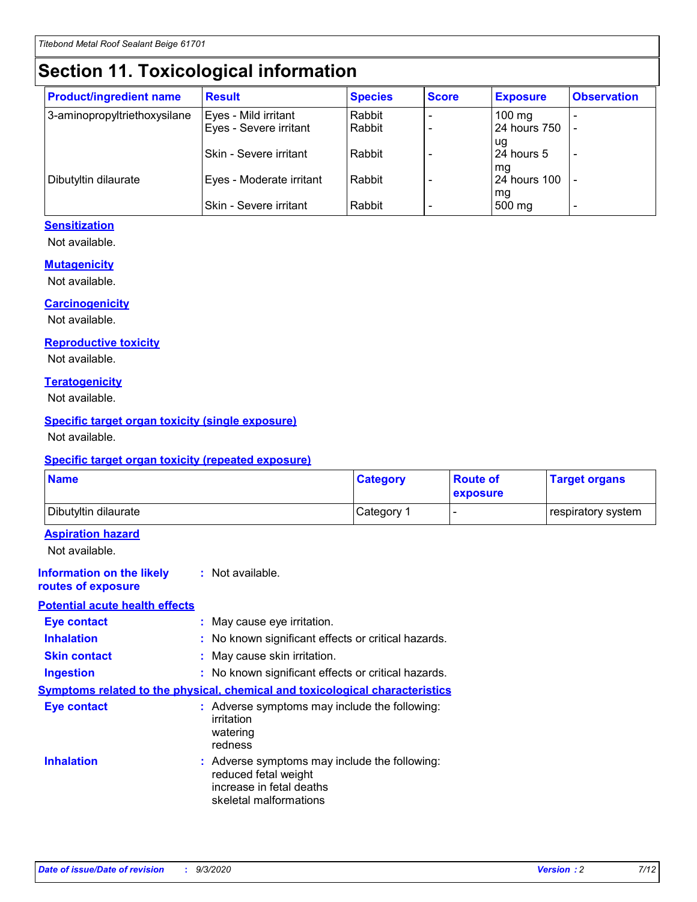# **Section 11. Toxicological information**

| <b>Product/ingredient name</b> | <b>Result</b>            | <b>Species</b> | <b>Score</b> | <b>Exposure</b>  | <b>Observation</b> |
|--------------------------------|--------------------------|----------------|--------------|------------------|--------------------|
| 3-aminopropyltriethoxysilane   | Eyes - Mild irritant     | Rabbit         |              | $100 \text{ mg}$ |                    |
|                                | Eyes - Severe irritant   | Rabbit         |              | 24 hours 750     |                    |
|                                |                          |                |              | ug               |                    |
|                                | Skin - Severe irritant   | Rabbit         |              | 24 hours 5       | ۰                  |
|                                |                          |                |              | mq               |                    |
| Dibutyltin dilaurate           | Eyes - Moderate irritant | Rabbit         |              | 24 hours 100     |                    |
|                                | Skin - Severe irritant   | Rabbit         |              | mg<br>500 mg     |                    |

## **Sensitization**

Not available.

### **Mutagenicity**

Not available.

### **Carcinogenicity**

Not available.

#### **Reproductive toxicity**

Not available.

### **Teratogenicity**

Not available.

### **Specific target organ toxicity (single exposure)**

Not available.

### **Specific target organ toxicity (repeated exposure)**

| <b>Name</b>                                                                  |                                                                            | <b>Category</b>                                     | <b>Route of</b><br>exposure | <b>Target organs</b> |  |  |
|------------------------------------------------------------------------------|----------------------------------------------------------------------------|-----------------------------------------------------|-----------------------------|----------------------|--|--|
| Dibutyltin dilaurate                                                         |                                                                            | Category 1                                          | -                           | respiratory system   |  |  |
| <b>Aspiration hazard</b><br>Not available.                                   |                                                                            |                                                     |                             |                      |  |  |
| <b>Information on the likely</b><br>routes of exposure                       | : Not available.                                                           |                                                     |                             |                      |  |  |
| <b>Potential acute health effects</b>                                        |                                                                            |                                                     |                             |                      |  |  |
| <b>Eye contact</b>                                                           | : May cause eye irritation.                                                |                                                     |                             |                      |  |  |
| <b>Inhalation</b>                                                            |                                                                            | : No known significant effects or critical hazards. |                             |                      |  |  |
| <b>Skin contact</b>                                                          |                                                                            | : May cause skin irritation.                        |                             |                      |  |  |
| <b>Ingestion</b>                                                             |                                                                            | : No known significant effects or critical hazards. |                             |                      |  |  |
| Symptoms related to the physical, chemical and toxicological characteristics |                                                                            |                                                     |                             |                      |  |  |
| <b>Eye contact</b>                                                           | irritation<br>watering<br>redness                                          | : Adverse symptoms may include the following:       |                             |                      |  |  |
| <b>Inhalation</b>                                                            | reduced fetal weight<br>increase in fetal deaths<br>skeletal malformations | : Adverse symptoms may include the following:       |                             |                      |  |  |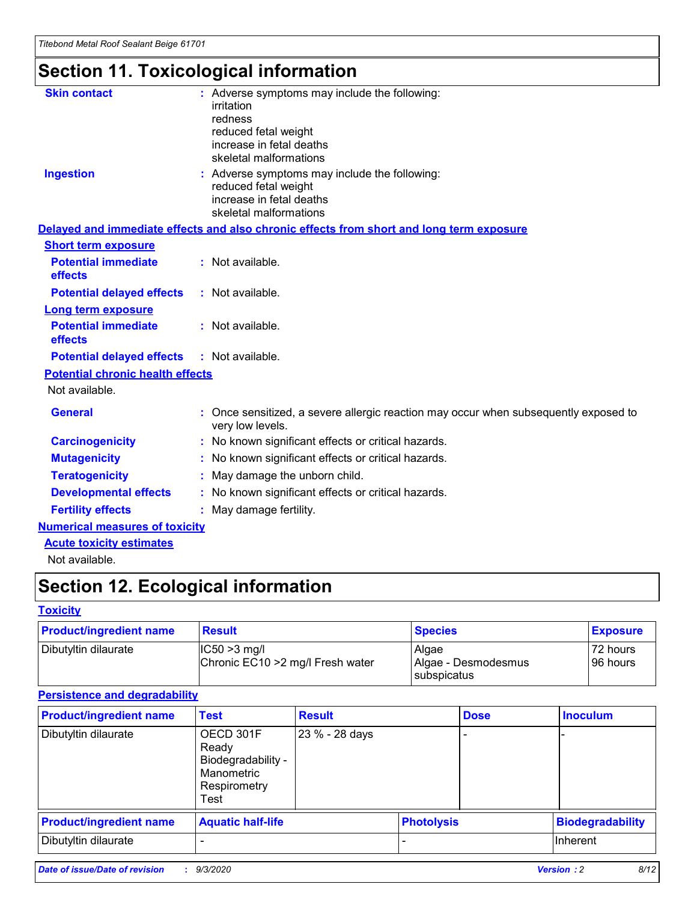# **Section 11. Toxicological information**

| <b>Skin contact</b>                     | : Adverse symptoms may include the following:                                                                               |  |
|-----------------------------------------|-----------------------------------------------------------------------------------------------------------------------------|--|
|                                         | irritation                                                                                                                  |  |
|                                         | redness<br>reduced fetal weight                                                                                             |  |
|                                         | increase in fetal deaths                                                                                                    |  |
|                                         | skeletal malformations                                                                                                      |  |
| <b>Ingestion</b>                        | : Adverse symptoms may include the following:<br>reduced fetal weight<br>increase in fetal deaths<br>skeletal malformations |  |
|                                         | Delayed and immediate effects and also chronic effects from short and long term exposure                                    |  |
| <b>Short term exposure</b>              |                                                                                                                             |  |
| <b>Potential immediate</b><br>effects   | : Not available.                                                                                                            |  |
| <b>Potential delayed effects</b>        | : Not available.                                                                                                            |  |
| <b>Long term exposure</b>               |                                                                                                                             |  |
| <b>Potential immediate</b><br>effects   | : Not available.                                                                                                            |  |
| <b>Potential delayed effects</b>        | : Not available.                                                                                                            |  |
| <b>Potential chronic health effects</b> |                                                                                                                             |  |
| Not available.                          |                                                                                                                             |  |
| <b>General</b>                          | : Once sensitized, a severe allergic reaction may occur when subsequently exposed to<br>very low levels.                    |  |
| <b>Carcinogenicity</b>                  | : No known significant effects or critical hazards.                                                                         |  |
| <b>Mutagenicity</b>                     | : No known significant effects or critical hazards.                                                                         |  |
| <b>Teratogenicity</b>                   | May damage the unborn child.                                                                                                |  |
| <b>Developmental effects</b>            | : No known significant effects or critical hazards.                                                                         |  |
| <b>Fertility effects</b>                | May damage fertility.                                                                                                       |  |
| <b>Numerical measures of toxicity</b>   |                                                                                                                             |  |
| <b>Acute toxicity estimates</b>         |                                                                                                                             |  |
| الملحلة والمستحيط والمسالم              |                                                                                                                             |  |

Not available.

# **Section 12. Ecological information**

## **Toxicity**

| <b>Product/ingredient name</b> | <b>Result</b>                                       | <b>Species</b>               | <b>Exposure</b>       |
|--------------------------------|-----------------------------------------------------|------------------------------|-----------------------|
| Dibutyltin dilaurate           | $ CC50>3$ mg/l<br>Chronic EC10 > 2 mg/l Fresh water | Algae<br>Algae - Desmodesmus | 72 hours<br>196 hours |
|                                |                                                     | <b>I</b> subspicatus         |                       |

## **Persistence and degradability**

| <b>Product/ingredient name</b> | <b>Test</b>                                                                    | <b>Result</b>  |                   | <b>Dose</b> | <b>Inoculum</b>         |
|--------------------------------|--------------------------------------------------------------------------------|----------------|-------------------|-------------|-------------------------|
| Dibutyltin dilaurate           | OECD 301F<br>Ready<br>Biodegradability -<br>Manometric<br>Respirometry<br>Test | 23 % - 28 days |                   |             |                         |
| <b>Product/ingredient name</b> | <b>Aquatic half-life</b>                                                       |                | <b>Photolysis</b> |             | <b>Biodegradability</b> |
| Dibutyltin dilaurate           |                                                                                |                |                   |             | <b>Inherent</b>         |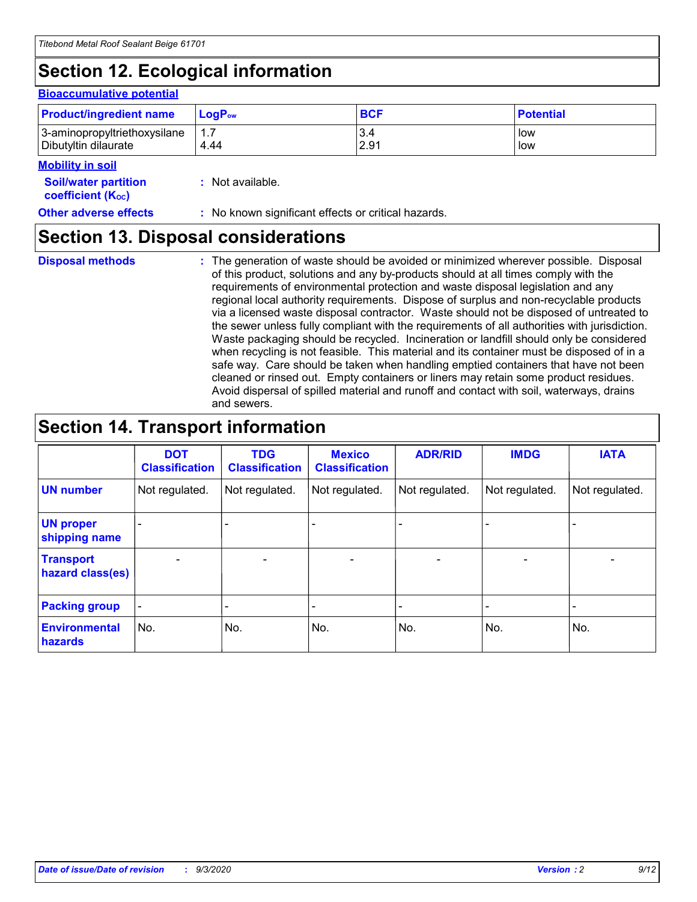# **Section 12. Ecological information**

#### **Bioaccumulative potential**

| <b>Product/ingredient name</b> | <b>LogP</b> <sub>ow</sub> | <b>BCF</b> | <b>Potential</b> |
|--------------------------------|---------------------------|------------|------------------|
| 3-aminopropyltriethoxysilane   | 4.44                      | 3.4        | low              |
| Dibutyltin dilaurate           |                           | 2.91       | low              |

#### **Mobility in soil**

| <b>Soil/water partition</b>           | : Not available. |
|---------------------------------------|------------------|
| <b>coefficient</b> (K <sub>oc</sub> ) |                  |

**Other adverse effects** : No known significant effects or critical hazards.

# **Section 13. Disposal considerations**

**Disposal methods :**

The generation of waste should be avoided or minimized wherever possible. Disposal of this product, solutions and any by-products should at all times comply with the requirements of environmental protection and waste disposal legislation and any regional local authority requirements. Dispose of surplus and non-recyclable products via a licensed waste disposal contractor. Waste should not be disposed of untreated to the sewer unless fully compliant with the requirements of all authorities with jurisdiction. Waste packaging should be recycled. Incineration or landfill should only be considered when recycling is not feasible. This material and its container must be disposed of in a safe way. Care should be taken when handling emptied containers that have not been cleaned or rinsed out. Empty containers or liners may retain some product residues. Avoid dispersal of spilled material and runoff and contact with soil, waterways, drains and sewers.

# **Section 14. Transport information**

|                                      | <b>DOT</b><br><b>Classification</b> | <b>TDG</b><br><b>Classification</b> | <b>Mexico</b><br><b>Classification</b> | <b>ADR/RID</b>           | <b>IMDG</b>              | <b>IATA</b>    |
|--------------------------------------|-------------------------------------|-------------------------------------|----------------------------------------|--------------------------|--------------------------|----------------|
| <b>UN number</b>                     | Not regulated.                      | Not regulated.                      | Not regulated.                         | Not regulated.           | Not regulated.           | Not regulated. |
| <b>UN proper</b><br>shipping name    |                                     |                                     |                                        |                          |                          |                |
| <b>Transport</b><br>hazard class(es) | $\overline{\phantom{0}}$            | $\overline{\phantom{0}}$            | $\overline{\phantom{0}}$               | $\overline{\phantom{0}}$ | $\overline{\phantom{0}}$ |                |
| <b>Packing group</b>                 |                                     |                                     |                                        |                          |                          |                |
| <b>Environmental</b><br>hazards      | No.                                 | No.                                 | No.                                    | No.                      | No.                      | No.            |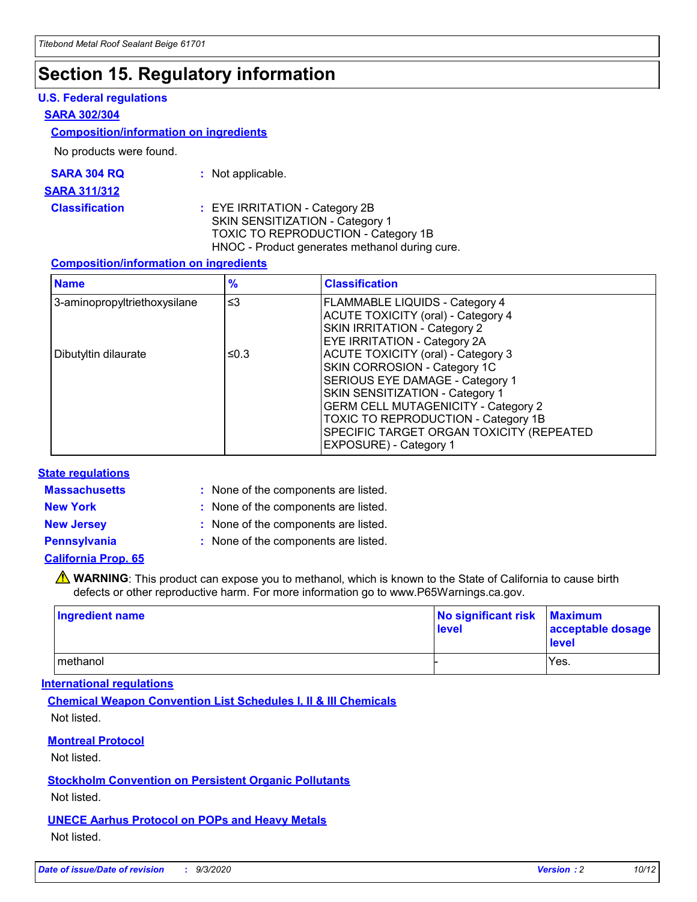# **Section 15. Regulatory information**

### **U.S. Federal regulations**

#### **SARA 302/304**

### **Composition/information on ingredients**

No products were found.

| SARA 304 RQ | Not applicable. |
|-------------|-----------------|
|-------------|-----------------|

#### **SARA 311/312**

### **Classification :** EYE IRRITATION - Category 2B SKIN SENSITIZATION - Category 1 TOXIC TO REPRODUCTION - Category 1B HNOC - Product generates methanol during cure.

### **Composition/information on ingredients**

| <b>Name</b>                  | $\frac{9}{6}$ | <b>Classification</b>                                                                                                                                                                                                                                                                                      |
|------------------------------|---------------|------------------------------------------------------------------------------------------------------------------------------------------------------------------------------------------------------------------------------------------------------------------------------------------------------------|
| 3-aminopropyltriethoxysilane | $\leq$ 3      | <b>FLAMMABLE LIQUIDS - Category 4</b><br><b>ACUTE TOXICITY (oral) - Category 4</b><br>SKIN IRRITATION - Category 2<br>EYE IRRITATION - Category 2A                                                                                                                                                         |
| Dibutyltin dilaurate         | ≤0.3          | <b>ACUTE TOXICITY (oral) - Category 3</b><br>SKIN CORROSION - Category 1C<br>SERIOUS EYE DAMAGE - Category 1<br>SKIN SENSITIZATION - Category 1<br><b>GERM CELL MUTAGENICITY - Category 2</b><br>TOXIC TO REPRODUCTION - Category 1B<br>SPECIFIC TARGET ORGAN TOXICITY (REPEATED<br>EXPOSURE) - Category 1 |

### **State regulations**

**Massachusetts :**

: None of the components are listed.

**New York :** None of the components are listed.

**New Jersey :** None of the components are listed.

**Pennsylvania :** None of the components are listed.

### **California Prop. 65**

WARNING: This product can expose you to methanol, which is known to the State of California to cause birth defects or other reproductive harm. For more information go to www.P65Warnings.ca.gov.

| Ingredient name | No significant risk<br>level | <b>Maximum</b><br>acceptable dosage<br><b>level</b> |
|-----------------|------------------------------|-----------------------------------------------------|
| l methanol      |                              | Yes.                                                |

### **International regulations**

**Chemical Weapon Convention List Schedules I, II & III Chemicals** Not listed.

### **Montreal Protocol**

Not listed.

**Stockholm Convention on Persistent Organic Pollutants**

Not listed.

### **UNECE Aarhus Protocol on POPs and Heavy Metals** Not listed.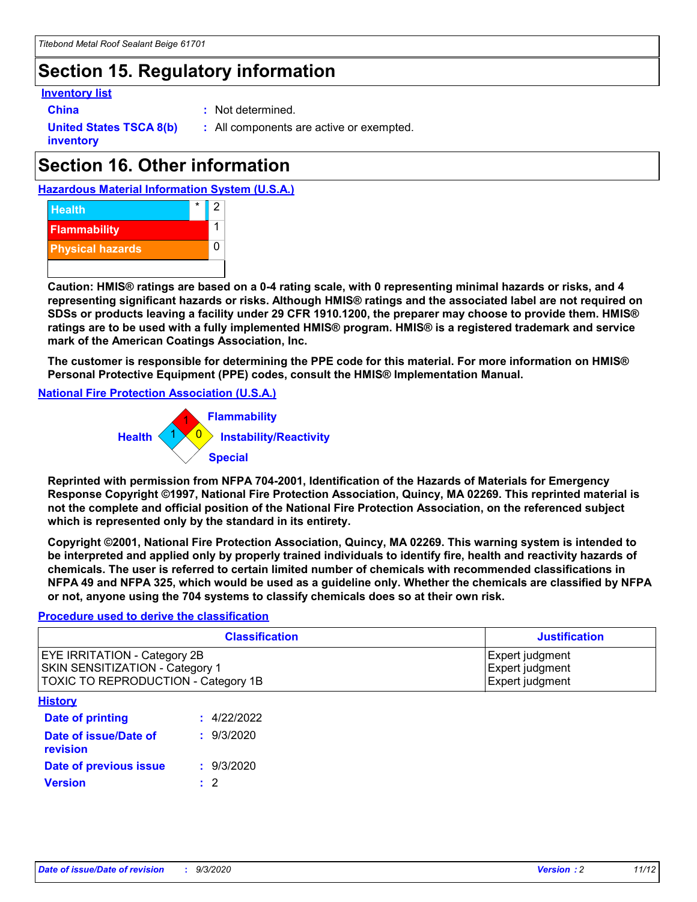# **Section 15. Regulatory information**

### **Inventory list**

**China :** Not determined.

**United States TSCA 8(b) inventory**

**:** All components are active or exempted.

# **Section 16. Other information**





**Caution: HMIS® ratings are based on a 0-4 rating scale, with 0 representing minimal hazards or risks, and 4 representing significant hazards or risks. Although HMIS® ratings and the associated label are not required on SDSs or products leaving a facility under 29 CFR 1910.1200, the preparer may choose to provide them. HMIS® ratings are to be used with a fully implemented HMIS® program. HMIS® is a registered trademark and service mark of the American Coatings Association, Inc.**

**The customer is responsible for determining the PPE code for this material. For more information on HMIS® Personal Protective Equipment (PPE) codes, consult the HMIS® Implementation Manual.**

**National Fire Protection Association (U.S.A.)**



**Reprinted with permission from NFPA 704-2001, Identification of the Hazards of Materials for Emergency Response Copyright ©1997, National Fire Protection Association, Quincy, MA 02269. This reprinted material is not the complete and official position of the National Fire Protection Association, on the referenced subject which is represented only by the standard in its entirety.**

**Copyright ©2001, National Fire Protection Association, Quincy, MA 02269. This warning system is intended to be interpreted and applied only by properly trained individuals to identify fire, health and reactivity hazards of chemicals. The user is referred to certain limited number of chemicals with recommended classifications in NFPA 49 and NFPA 325, which would be used as a guideline only. Whether the chemicals are classified by NFPA or not, anyone using the 704 systems to classify chemicals does so at their own risk.**

## **Procedure used to derive the classification**

| <b>Classification</b>                                                                                         | <b>Justification</b>                                  |
|---------------------------------------------------------------------------------------------------------------|-------------------------------------------------------|
| <b>EYE IRRITATION - Category 2B</b><br>SKIN SENSITIZATION - Category 1<br>TOXIC TO REPRODUCTION - Category 1B | Expert judgment<br>Expert judgment<br>Expert judgment |
| <b>History</b>                                                                                                |                                                       |

| .                                 |             |
|-----------------------------------|-------------|
| Date of printing                  | : 4/22/2022 |
| Date of issue/Date of<br>revision | : 9/3/2020  |
| Date of previous issue            | : 9/3/2020  |
| <b>Version</b>                    | $\cdot$ 2   |
|                                   |             |